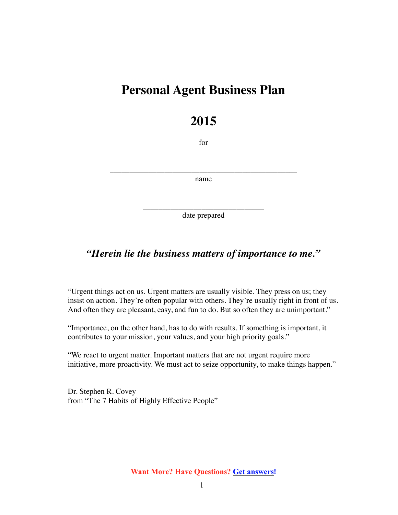# **Personal Agent Business Plan**

# **2015**

for

\_\_\_\_\_\_\_\_\_\_\_\_\_\_\_\_\_\_\_\_\_\_\_\_\_\_\_\_\_\_\_\_\_\_\_\_\_\_\_\_\_\_\_\_\_\_\_\_ name

> \_\_\_\_\_\_\_\_\_\_\_\_\_\_\_\_\_\_\_\_\_\_\_\_\_\_\_\_\_\_\_ date prepared

## *"Herein lie the business matters of importance to me."*

"Urgent things act on us. Urgent matters are usually visible. They press on us; they insist on action. They're often popular with others. They're usually right in front of us. And often they are pleasant, easy, and fun to do. But so often they are unimportant."

"Importance, on the other hand, has to do with results. If something is important, it contributes to your mission, your values, and your high priority goals."

"We react to urgent matter. Important matters that are not urgent require more initiative, more proactivity. We must act to seize opportunity, to make things happen."

Dr. Stephen R. Covey from "The 7 Habits of Highly Effective People"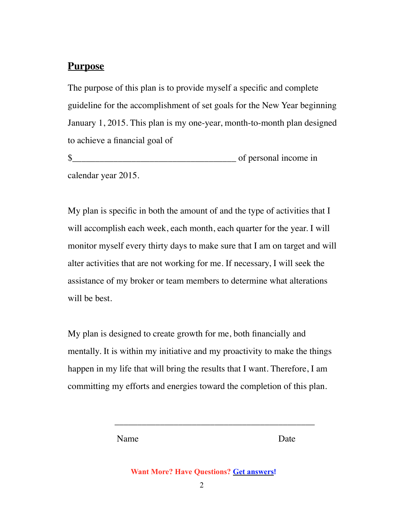## **Purpose**

The purpose of this plan is to provide myself a specific and complete guideline for the accomplishment of set goals for the New Year beginning January 1, 2015. This plan is my one-year, month-to-month plan designed to achieve a financial goal of

\$\_\_\_\_\_\_\_\_\_\_\_\_\_\_\_\_\_\_\_\_\_\_\_\_\_\_\_\_\_\_\_\_\_\_\_\_ of personal income in calendar year 2015.

My plan is specific in both the amount of and the type of activities that I will accomplish each week, each month, each quarter for the year. I will monitor myself every thirty days to make sure that I am on target and will alter activities that are not working for me. If necessary, I will seek the assistance of my broker or team members to determine what alterations will be best.

My plan is designed to create growth for me, both financially and mentally. It is within my initiative and my proactivity to make the things happen in my life that will bring the results that I want. Therefore, I am committing my efforts and energies toward the completion of this plan.

 $\overline{\phantom{a}}$  , which is a set of the set of the set of the set of the set of the set of the set of the set of the set of the set of the set of the set of the set of the set of the set of the set of the set of the set of th

Name Date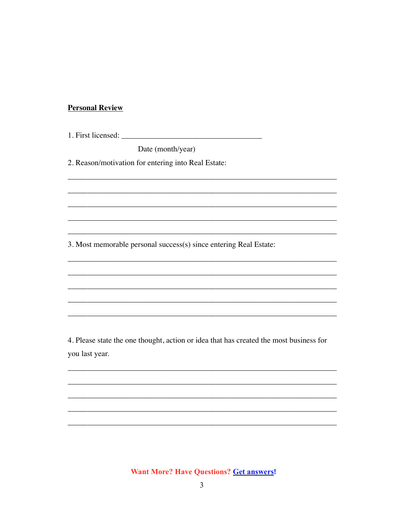### **Personal Review**

Date (month/year)

2. Reason/motivation for entering into Real Estate:

3. Most memorable personal success(s) since entering Real Estate:

4. Please state the one thought, action or idea that has created the most business for you last year.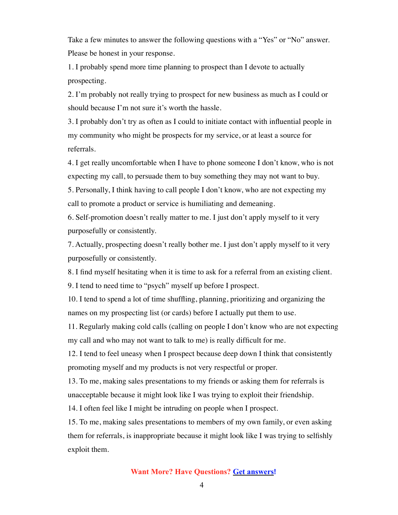Take a few minutes to answer the following questions with a "Yes" or "No" answer. Please be honest in your response.

1. I probably spend more time planning to prospect than I devote to actually prospecting.

2. I'm probably not really trying to prospect for new business as much as I could or should because I'm not sure it's worth the hassle.

3. I probably don't try as often as I could to initiate contact with influential people in my community who might be prospects for my service, or at least a source for referrals.

4. I get really uncomfortable when I have to phone someone I don't know, who is not expecting my call, to persuade them to buy something they may not want to buy.

5. Personally, I think having to call people I don't know, who are not expecting my call to promote a product or service is humiliating and demeaning.

6. Self-promotion doesn't really matter to me. I just don't apply myself to it very purposefully or consistently.

7. Actually, prospecting doesn't really bother me. I just don't apply myself to it very purposefully or consistently.

8. I find myself hesitating when it is time to ask for a referral from an existing client.

9. I tend to need time to "psych" myself up before I prospect.

10. I tend to spend a lot of time shuffling, planning, prioritizing and organizing the names on my prospecting list (or cards) before I actually put them to use.

11. Regularly making cold calls (calling on people I don't know who are not expecting my call and who may not want to talk to me) is really difficult for me.

12. I tend to feel uneasy when I prospect because deep down I think that consistently promoting myself and my products is not very respectful or proper.

13. To me, making sales presentations to my friends or asking them for referrals is unacceptable because it might look like I was trying to exploit their friendship.

14. I often feel like I might be intruding on people when I prospect.

15. To me, making sales presentations to members of my own family, or even asking them for referrals, is inappropriate because it might look like I was trying to selfishly exploit them.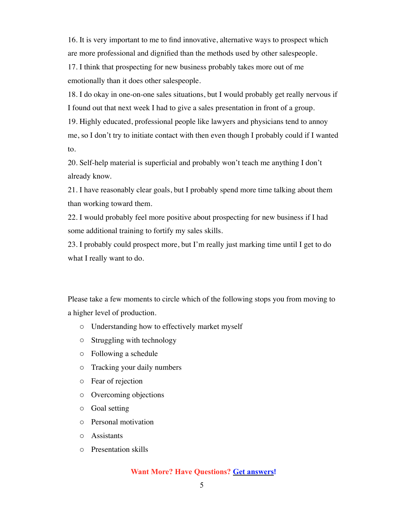16. It is very important to me to find innovative, alternative ways to prospect which are more professional and dignified than the methods used by other salespeople. 17. I think that prospecting for new business probably takes more out of me emotionally than it does other salespeople.

18. I do okay in one-on-one sales situations, but I would probably get really nervous if I found out that next week I had to give a sales presentation in front of a group.

19. Highly educated, professional people like lawyers and physicians tend to annoy me, so I don't try to initiate contact with then even though I probably could if I wanted to.

20. Self-help material is superficial and probably won't teach me anything I don't already know.

21. I have reasonably clear goals, but I probably spend more time talking about them than working toward them.

22. I would probably feel more positive about prospecting for new business if I had some additional training to fortify my sales skills.

23. I probably could prospect more, but I'm really just marking time until I get to do what I really want to do.

Please take a few moments to circle which of the following stops you from moving to a higher level of production.

- o Understanding how to effectively market myself
- o Struggling with technology
- o Following a schedule
- o Tracking your daily numbers
- o Fear of rejection
- o Overcoming objections
- o Goal setting
- o Personal motivation
- o Assistants
- o Presentation skills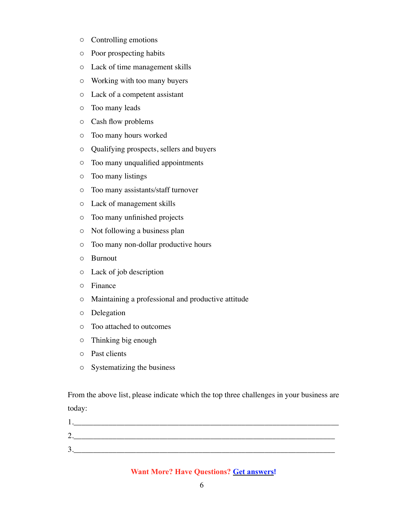- o Controlling emotions
- o Poor prospecting habits
- o Lack of time management skills
- o Working with too many buyers
- o Lack of a competent assistant
- o Too many leads
- o Cash flow problems
- o Too many hours worked
- o Qualifying prospects, sellers and buyers
- o Too many unqualified appointments
- o Too many listings
- o Too many assistants/staff turnover
- o Lack of management skills
- o Too many unfinished projects
- o Not following a business plan
- o Too many non-dollar productive hours
- o Burnout
- o Lack of job description
- o Finance
- o Maintaining a professional and productive attitude
- o Delegation
- o Too attached to outcomes
- o Thinking big enough
- o Past clients
- o Systematizing the business

From the above list, please indicate which the top three challenges in your business are today:

| ◠<br>، ت |  |  |
|----------|--|--|
| ⌒<br>◡   |  |  |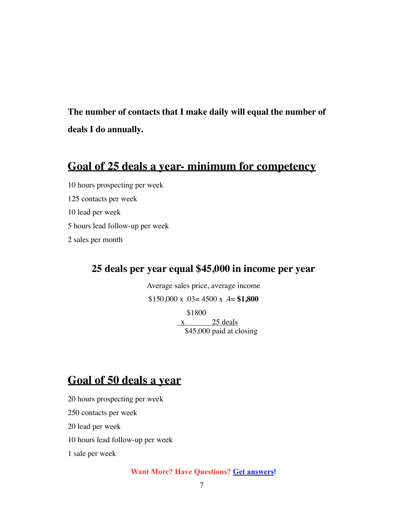**The number of contacts that I make daily will equal the number of deals I do annually.** 

## **Goal of 25 deals a year- minimum for competency**

10 hours prospecting per week 125 contacts per week 10 lead per week 5 hours lead follow-up per week 2 sales per month

## **25 deals per year equal \$45,000 in income per year**

Average sales price, average income

\$150,000 x .03= 4500 x .4= **\$1,800**

 \$1800  $x$  25 deals \$45,000 paid at closing

# **Goal of 50 deals a year**

20 hours prospecting per week

250 contacts per week

20 lead per week

10 hours lead follow-up per week

1 sale per week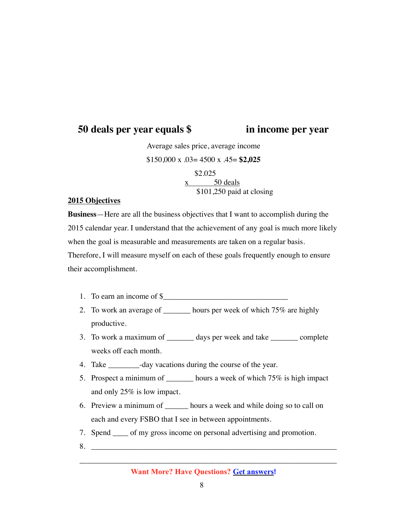## **50 deals per year equals \$ in income per year**

Average sales price, average income \$150,000 x .03= 4500 x .45= **\$2,025** \$2.025 x 50 deals

\$101,250 paid at closing

#### **2015 Objectives**

**Business**—Here are all the business objectives that I want to accomplish during the 2015 calendar year. I understand that the achievement of any goal is much more likely when the goal is measurable and measurements are taken on a regular basis. Therefore, I will measure myself on each of these goals frequently enough to ensure their accomplishment.

- 1. To earn an income of  $\frac{\sqrt{2}}{2}$
- 2. To work an average of \_\_\_\_\_\_\_ hours per week of which 75% are highly productive.
- 3. To work a maximum of \_\_\_\_\_\_\_ days per week and take \_\_\_\_\_\_\_ complete weeks off each month.
- 4. Take \_\_\_\_\_\_\_\_-day vacations during the course of the year.
- 5. Prospect a minimum of \_\_\_\_\_\_\_ hours a week of which 75% is high impact and only 25% is low impact.
- 6. Preview a minimum of \_\_\_\_\_\_ hours a week and while doing so to call on each and every FSBO that I see in between appointments.
- 7. Spend \_\_\_\_ of my gross income on personal advertising and promotion.
- 8.

\_\_\_\_\_\_\_\_\_\_\_\_\_\_\_\_\_\_\_\_\_\_\_\_\_\_\_\_\_\_\_\_\_\_\_\_\_\_\_\_\_\_\_\_\_\_\_\_\_\_\_\_\_\_\_\_\_\_\_\_\_\_\_\_\_\_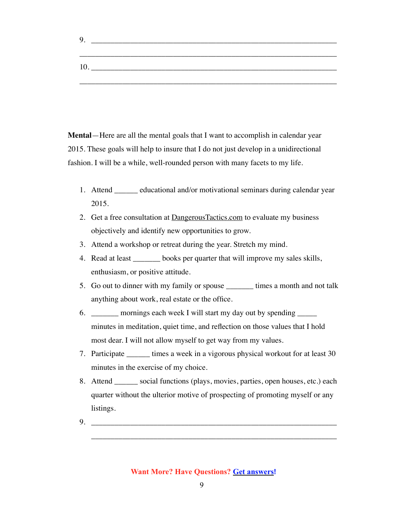| 9. |  |  |  |  |
|----|--|--|--|--|
|    |  |  |  |  |
| 10 |  |  |  |  |
|    |  |  |  |  |

**Mental**—Here are all the mental goals that I want to accomplish in calendar year 2015. These goals will help to insure that I do not just develop in a unidirectional fashion. I will be a while, well-rounded person with many facets to my life.

- 1. Attend \_\_\_\_\_\_ educational and/or motivational seminars during calendar year 2015.
- 2. Get a free consultation at **DangerousTactics.com** to evaluate my business objectively and identify new opportunities to grow.
- 3. Attend a workshop or retreat during the year. Stretch my mind.
- 4. Read at least \_\_\_\_\_\_\_ books per quarter that will improve my sales skills, enthusiasm, or positive attitude.
- 5. Go out to dinner with my family or spouse \_\_\_\_\_\_\_ times a month and not talk anything about work, real estate or the office.
- 6. \_\_\_\_\_\_\_ mornings each week I will start my day out by spending \_\_\_\_\_ minutes in meditation, quiet time, and reflection on those values that I hold most dear. I will not allow myself to get way from my values.
- 7. Participate \_\_\_\_\_\_ times a week in a vigorous physical workout for at least 30 minutes in the exercise of my choice.
- 8. Attend \_\_\_\_\_\_ social functions (plays, movies, parties, open houses, etc.) each quarter without the ulterior motive of prospecting of promoting myself or any listings.

\_\_\_\_\_\_\_\_\_\_\_\_\_\_\_\_\_\_\_\_\_\_\_\_\_\_\_\_\_\_\_\_\_\_\_\_\_\_\_\_\_\_\_\_\_\_\_\_\_\_\_\_\_\_\_\_\_\_\_\_\_\_\_

 $9.$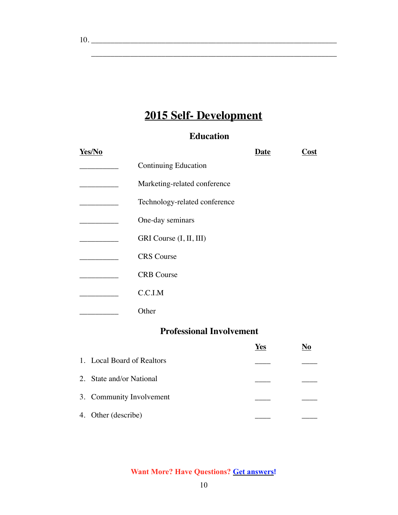# **2015 Self- Development**

## **Education**

\_\_\_\_\_\_\_\_\_\_\_\_\_\_\_\_\_\_\_\_\_\_\_\_\_\_\_\_\_\_\_\_\_\_\_\_\_\_\_\_\_\_\_\_\_\_\_\_\_\_\_\_\_\_\_\_\_\_\_\_\_\_\_

| Yes/No                     |                                 | Date       | Cost                      |
|----------------------------|---------------------------------|------------|---------------------------|
|                            | <b>Continuing Education</b>     |            |                           |
|                            | Marketing-related conference    |            |                           |
|                            | Technology-related conference   |            |                           |
|                            | One-day seminars                |            |                           |
|                            | GRI Course (I, II, III)         |            |                           |
|                            | <b>CRS</b> Course               |            |                           |
|                            | <b>CRB</b> Course               |            |                           |
|                            | C.C.I.M                         |            |                           |
|                            | Other                           |            |                           |
|                            | <b>Professional Involvement</b> |            |                           |
|                            |                                 | <b>Yes</b> | $\underline{\mathrm{No}}$ |
| 1. Local Board of Realtors |                                 |            |                           |

| 1. LOCAL DUALU OI INCAHOIS |  |
|----------------------------|--|
| 2. State and/or National   |  |
| 3. Community Involvement   |  |
| 4. Other (describe)        |  |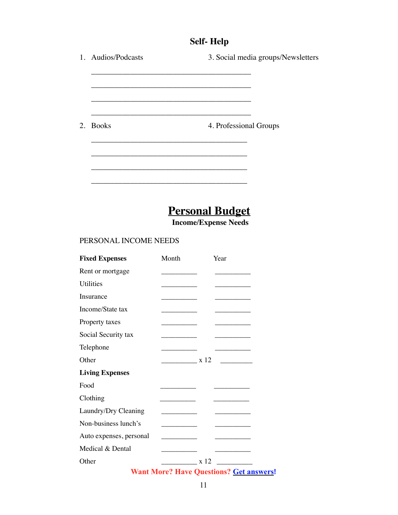## **Self- Help**

| 1. Audios/Podcasts                                                        | 3. Social media groups/Newsletters                    |
|---------------------------------------------------------------------------|-------------------------------------------------------|
|                                                                           |                                                       |
|                                                                           |                                                       |
|                                                                           |                                                       |
| 2. Books                                                                  | 4. Professional Groups                                |
|                                                                           |                                                       |
|                                                                           |                                                       |
|                                                                           |                                                       |
|                                                                           | <b>Personal Budget</b><br><b>Income/Expense Needs</b> |
| PERSONAL INCOME NEEDS                                                     |                                                       |
| $\mathbf{E}$ and $\mathbf{E}$ is the set of $\mathbf{M}$ and $\mathbf{M}$ | $\mathbf{V}$ .                                        |

| <b>Fixed Expenses</b>   | Month                     | Year                                                                                                                                                                                                                                                                                                                                                               |
|-------------------------|---------------------------|--------------------------------------------------------------------------------------------------------------------------------------------------------------------------------------------------------------------------------------------------------------------------------------------------------------------------------------------------------------------|
| Rent or mortgage        |                           |                                                                                                                                                                                                                                                                                                                                                                    |
| Utilities               | <u> 1989 - Andrea Sta</u> |                                                                                                                                                                                                                                                                                                                                                                    |
| Insurance               | ________                  |                                                                                                                                                                                                                                                                                                                                                                    |
| Income/State tax        | __________                |                                                                                                                                                                                                                                                                                                                                                                    |
| Property taxes          |                           |                                                                                                                                                                                                                                                                                                                                                                    |
| Social Security tax     |                           |                                                                                                                                                                                                                                                                                                                                                                    |
| Telephone               |                           |                                                                                                                                                                                                                                                                                                                                                                    |
| Other                   | $\frac{1}{x}$ x 12        |                                                                                                                                                                                                                                                                                                                                                                    |
| <b>Living Expenses</b>  |                           |                                                                                                                                                                                                                                                                                                                                                                    |
| Food                    |                           |                                                                                                                                                                                                                                                                                                                                                                    |
| Clothing                |                           |                                                                                                                                                                                                                                                                                                                                                                    |
| Laundry/Dry Cleaning    |                           |                                                                                                                                                                                                                                                                                                                                                                    |
| Non-business lunch's    |                           |                                                                                                                                                                                                                                                                                                                                                                    |
| Auto expenses, personal |                           |                                                                                                                                                                                                                                                                                                                                                                    |
| Medical & Dental        |                           |                                                                                                                                                                                                                                                                                                                                                                    |
| Other                   |                           | $\frac{\ }{\ }$ x 12 $\frac{\ }{\ }$                                                                                                                                                                                                                                                                                                                               |
|                         |                           | $\mathbf{X} \mathbf{X}^T$ $\mathbf{X} \mathbf{X}^T$ $\mathbf{X} \mathbf{X}^T$ $\mathbf{X} \mathbf{X}$ $\mathbf{X} \mathbf{X}$ $\mathbf{X} \mathbf{X}$ $\mathbf{X} \mathbf{X}$ $\mathbf{X} \mathbf{X}$ $\mathbf{X} \mathbf{X}$ $\mathbf{X} \mathbf{X}$ $\mathbf{X} \mathbf{X}$ $\mathbf{X} \mathbf{X} \mathbf{X}$ $\mathbf{X} \mathbf{X} \mathbf{X}$ $\mathbf{X} \$ |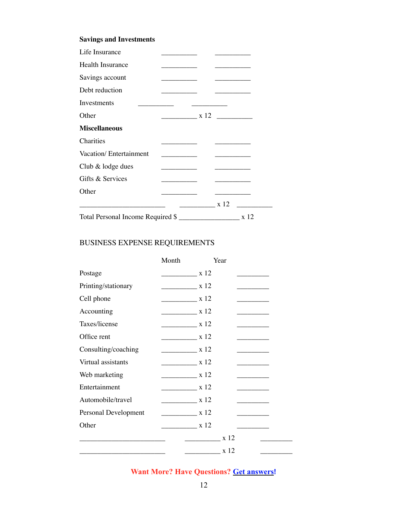### **Savings and Investments**

| Life Insurance                    |                                  |            |  |
|-----------------------------------|----------------------------------|------------|--|
| Health Insurance                  |                                  |            |  |
| Savings account                   |                                  | __________ |  |
| Debt reduction                    |                                  |            |  |
| Investments                       |                                  |            |  |
| Other                             | $\frac{1}{x}$ x 12 $\frac{1}{x}$ |            |  |
| <b>Miscellaneous</b>              |                                  |            |  |
| <b>Charities</b>                  |                                  |            |  |
| Vacation/ Entertainment           |                                  |            |  |
| Club $&$ lodge dues               |                                  |            |  |
| Gifts & Services                  |                                  |            |  |
| Other                             |                                  |            |  |
| $\frac{1}{2}$ x 12 $\frac{1}{2}$  |                                  |            |  |
| Total Personal Income Required \$ |                                  |            |  |

### BUSINESS EXPENSE REQUIREMENTS

|                      | Month                   | Year                                |        |
|----------------------|-------------------------|-------------------------------------|--------|
| Postage              | $\frac{1}{x}$ x 12      |                                     |        |
| Printing/stationary  | $\frac{1}{x}$ x 12      |                                     |        |
| Cell phone           | $\frac{1}{x}$ x 12      |                                     |        |
| Accounting           | $\frac{\ }{12}$ x 12    |                                     |        |
| Taxes/license        | $\frac{1}{x}$ x 12      |                                     |        |
| Office rent          | $\frac{1}{x}$ x 12      |                                     |        |
| Consulting/coaching  | $\frac{1}{x}$ x 12      |                                     |        |
| Virtual assistants   | $\frac{1}{x}$ x 12      |                                     | ______ |
| Web marketing        | $\frac{1}{x}$ x 12      |                                     |        |
| Entertainment        | $\frac{1}{2} \times 12$ |                                     |        |
| Automobile/travel    | $\frac{1}{x}$ x 12      |                                     |        |
| Personal Development | $\frac{1}{x}$ x 12      |                                     |        |
| Other                | $\frac{\ }{12}$ x 12    |                                     |        |
|                      |                         | x 12<br><u> 1980 - Andrea State</u> |        |
|                      |                         | $\frac{1}{x}$ x 12                  |        |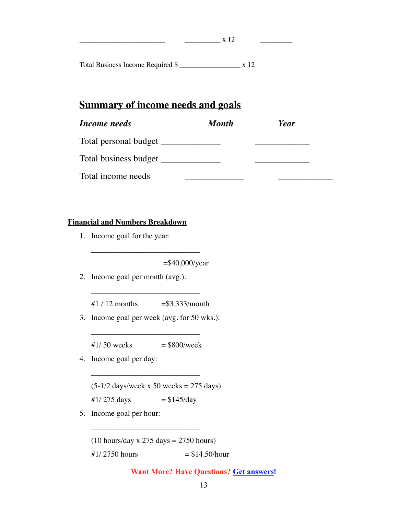Total Business Income Required \$ \_\_\_\_\_\_\_\_\_\_\_\_\_\_\_\_\_ x 12

## **Summary of income needs and goals**

| Income needs          | <b>Month</b> | Year |
|-----------------------|--------------|------|
| Total personal budget |              |      |
| Total business budget |              |      |
| Total income needs    |              |      |

 $\frac{1}{x}$  x 12

#### **Financial and Numbers Breakdown**

1. Income goal for the year: 

 =\$40,000/year

2. Income goal per month (avg.): 

#1 / 12 months  $= $3,333/$ month

\_\_\_\_\_\_\_\_\_\_\_\_\_\_\_\_\_\_\_\_\_\_\_\_\_\_\_\_

\_\_\_\_\_\_\_\_\_\_\_\_\_\_\_\_\_\_\_\_\_\_\_\_\_\_\_\_

3. Income goal per week (avg. for 50 wks.): 

 $\#1/50$  weeks = \$800/week

\_\_\_\_\_\_\_\_\_\_\_\_\_\_\_\_\_\_\_\_\_\_\_\_\_\_\_\_

4. Income goal per day: 

 $(5-1/2$  days/week x 50 weeks = 275 days)

#1/ 275 days  $= $145/day$ 

\_\_\_\_\_\_\_\_\_\_\_\_\_\_\_\_\_\_\_\_\_\_\_\_\_\_\_\_

5. Income goal per hour: 

 $(10$  hours/day x 275 days = 2750 hours)

 $\#1/2750$  hours  $= $14.50$ /hour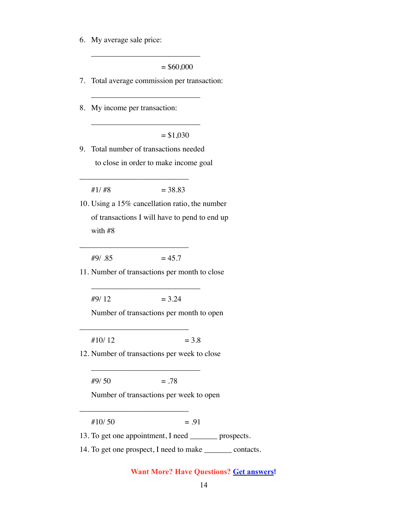6. My average sale price: 

 $= $60,000$ 

7. Total average commission per transaction: 

\_\_\_\_\_\_\_\_\_\_\_\_\_\_\_\_\_\_\_\_\_\_\_\_\_\_\_\_

\_\_\_\_\_\_\_\_\_\_\_\_\_\_\_\_\_\_\_\_\_\_\_\_\_\_\_\_

\_\_\_\_\_\_\_\_\_\_\_\_\_\_\_\_\_\_\_\_\_\_\_\_\_\_\_\_

8. My income per transaction: 

 $= $1,030$ 

9. Total number of transactions needed to close in order to make income goal 

 $\#1/\#8$  = 38.83

\_\_\_\_\_\_\_\_\_\_\_\_\_\_\_\_\_\_\_\_\_\_\_\_\_\_\_\_

10. Using a 15% cancellation ratio, the number of transactions I will have to pend to end up with #8 

 $#9/ .85 = 45.7$ 

\_\_\_\_\_\_\_\_\_\_\_\_\_\_\_\_\_\_\_\_\_\_\_\_\_\_\_\_

11. Number of transactions per month to close 

\_\_\_\_\_\_\_\_\_\_\_\_\_\_\_\_\_\_\_\_\_\_\_\_\_\_\_\_

 $\#9/12$  = 3.24

Number of transactions per month to open 

 $\#10/12$  = 3.8

\_\_\_\_\_\_\_\_\_\_\_\_\_\_\_\_\_\_\_\_\_\_\_\_\_\_\_\_

12. Number of transactions per week to close 

\_\_\_\_\_\_\_\_\_\_\_\_\_\_\_\_\_\_\_\_\_\_\_\_\_\_\_\_

 $\#9/50 = .78$ 

\_\_\_\_\_\_\_\_\_\_\_\_\_\_\_\_\_\_\_\_\_\_\_\_\_\_\_\_

Number of transactions per week to open 

 $\#10/50$  = .91

13. To get one appointment, I need \_\_\_\_\_\_\_ prospects.

14. To get one prospect, I need to make \_\_\_\_\_\_\_ contacts.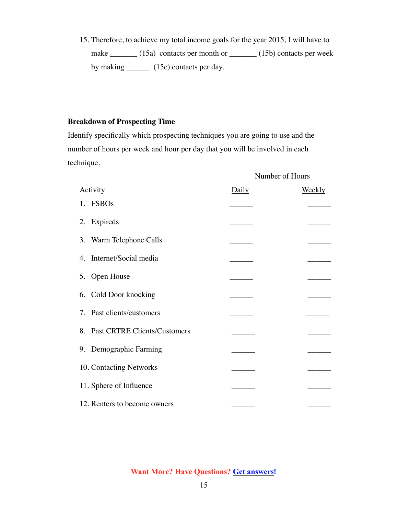15. Therefore, to achieve my total income goals for the year 2015, I will have to make \_\_\_\_\_\_\_ (15a) contacts per month or \_\_\_\_\_\_ (15b) contacts per week by making \_\_\_\_\_\_\_ (15c) contacts per day.

### **Breakdown of Prospecting Time**

Identify specifically which prospecting techniques you are going to use and the number of hours per week and hour per day that you will be involved in each technique.

|                                 |       | Number of Hours |
|---------------------------------|-------|-----------------|
| Activity                        | Daily | <u>Weekly</u>   |
| 1. FSBOs                        |       |                 |
| 2. Expireds                     |       |                 |
| 3. Warm Telephone Calls         |       |                 |
| 4. Internet/Social media        |       |                 |
| 5. Open House                   |       |                 |
| 6. Cold Door knocking           |       |                 |
| 7. Past clients/customers       |       |                 |
| 8. Past CRTRE Clients/Customers |       |                 |
| 9. Demographic Farming          |       |                 |
| 10. Contacting Networks         |       |                 |
| 11. Sphere of Influence         |       |                 |
| 12. Renters to become owners    |       |                 |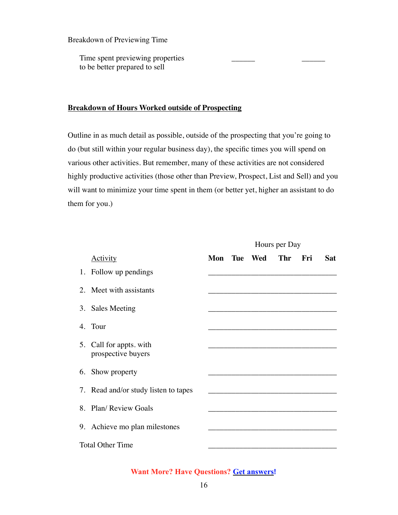Breakdown of Previewing Time

Time spent previewing properties to be better prepared to sell

#### **Breakdown of Hours Worked outside of Prospecting**

Outline in as much detail as possible, outside of the prospecting that you're going to do (but still within your regular business day), the specific times you will spend on various other activities. But remember, many of these activities are not considered highly productive activities (those other than Preview, Prospect, List and Sell) and you will want to minimize your time spent in them (or better yet, higher an assistant to do them for you.)

|                                               | Hours per Day |  |                    |            |       |            |
|-----------------------------------------------|---------------|--|--------------------|------------|-------|------------|
| <b>Activity</b>                               |               |  | <b>Mon</b> Tue Wed | <b>Thr</b> | - Fri | <b>Sat</b> |
| 1. Follow up pendings                         |               |  |                    |            |       |            |
| 2. Meet with assistants                       |               |  |                    |            |       |            |
| 3. Sales Meeting                              |               |  |                    |            |       |            |
| 4. Tour                                       |               |  |                    |            |       |            |
| 5. Call for appts. with<br>prospective buyers |               |  |                    |            |       |            |
| 6. Show property                              |               |  |                    |            |       |            |
| 7. Read and/or study listen to tapes          |               |  |                    |            |       |            |
| 8. Plan/ Review Goals                         |               |  |                    |            |       |            |
| 9. Achieve mo plan milestones                 |               |  |                    |            |       |            |
| <b>Total Other Time</b>                       |               |  |                    |            |       |            |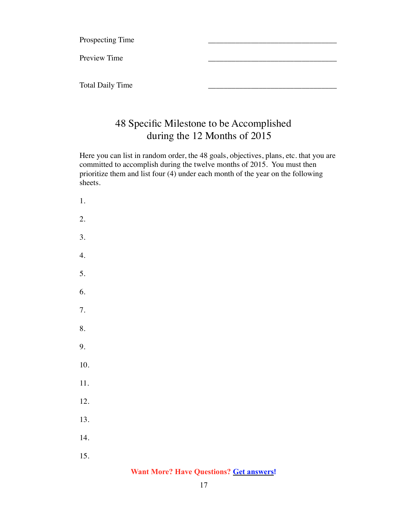Prospecting Time

Preview Time

Total Daily Time

## 48 Specific Milestone to be Accomplished during the 12 Months of 2015

Here you can list in random order, the 48 goals, objectives, plans, etc. that you are committed to accomplish during the twelve months of 2015. You must then prioritize them and list four (4) under each month of the year on the following sheets.

1. 2. 3. 4. 5. 6. 7. 8. 9. 10. 11. 12. 13. 14. 15.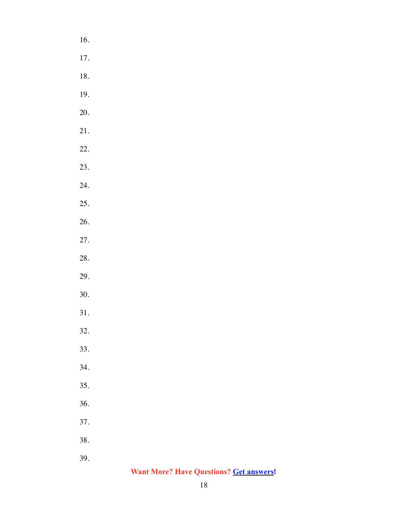16. 17. 18. 19. 20. 21. 22. 23. 24. 25. 26. 27. 28. 29. 30. 31. 32. 33. 34. 35. 36. 37. 38. 39.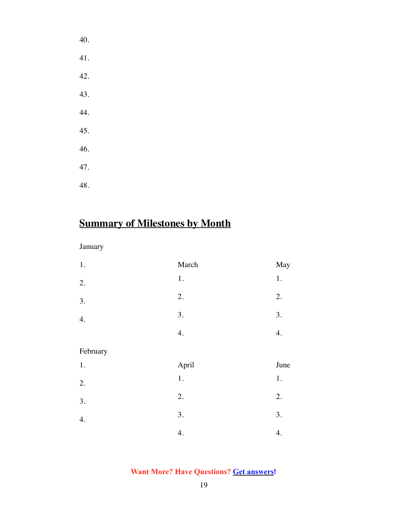| 40. |  |  |
|-----|--|--|
| 41. |  |  |
| 42. |  |  |
| 43. |  |  |
| 44. |  |  |
| 45. |  |  |
| 46. |  |  |
| 47. |  |  |
| 48. |  |  |

# **Summary of Milestones by Month**

## January

| $1.$     | March   | May  |
|----------|---------|------|
| 2.       | $1. \,$ | $1.$ |
| 3.       | 2.      | 2.   |
| 4.       | 3.      | 3.   |
|          | 4.      | 4.   |
| February |         |      |
| 1.       | April   | June |
| 2.       | $1. \,$ | $1.$ |
| 3.       | 2.      | 2.   |
| 4.       | 3.      | 3.   |
|          | 4.      | 4.   |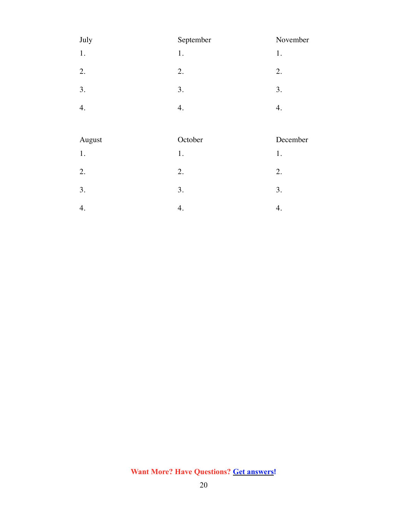| July | September | November |
|------|-----------|----------|
| 1.   | 1.        | 1.       |
| 2.   | 2.        | 2.       |
| 3.   | 3.        | 3.       |
| 4.   | 4.        | 4.       |

| August | October | December |
|--------|---------|----------|
| 1.     | 1.      | 1.       |
| 2.     | 2.      | 2.       |
| 3.     | 3.      | 3.       |
|        |         |          |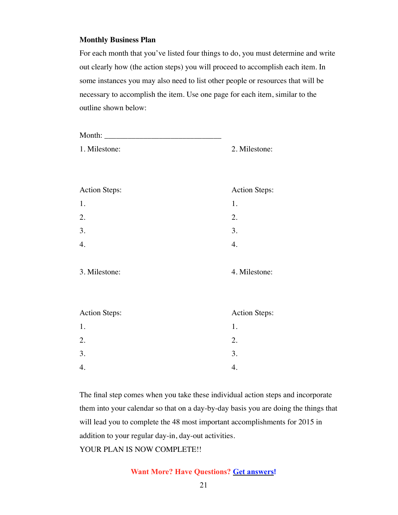#### **Monthly Business Plan**

For each month that you've listed four things to do, you must determine and write out clearly how (the action steps) you will proceed to accomplish each item. In some instances you may also need to list other people or resources that will be necessary to accomplish the item. Use one page for each item, similar to the outline shown below:

| 1. Milestone:        | 2. Milestone:        |  |
|----------------------|----------------------|--|
|                      |                      |  |
|                      |                      |  |
| <b>Action Steps:</b> | <b>Action Steps:</b> |  |
| 1.                   | 1.                   |  |
| 2.                   | 2.                   |  |
| 3.                   | 3.                   |  |
| 4.                   | 4.                   |  |
|                      |                      |  |
| 3. Milestone:        | 4. Milestone:        |  |
|                      |                      |  |
|                      |                      |  |
| <b>Action Steps:</b> | <b>Action Steps:</b> |  |
| 1.                   | 1.                   |  |
| 2.                   | 2.                   |  |
| 3.                   | 3.                   |  |
| 4.                   | 4.                   |  |
|                      |                      |  |

The final step comes when you take these individual action steps and incorporate them into your calendar so that on a day-by-day basis you are doing the things that will lead you to complete the 48 most important accomplishments for 2015 in addition to your regular day-in, day-out activities. YOUR PLAN IS NOW COMPLETE!!